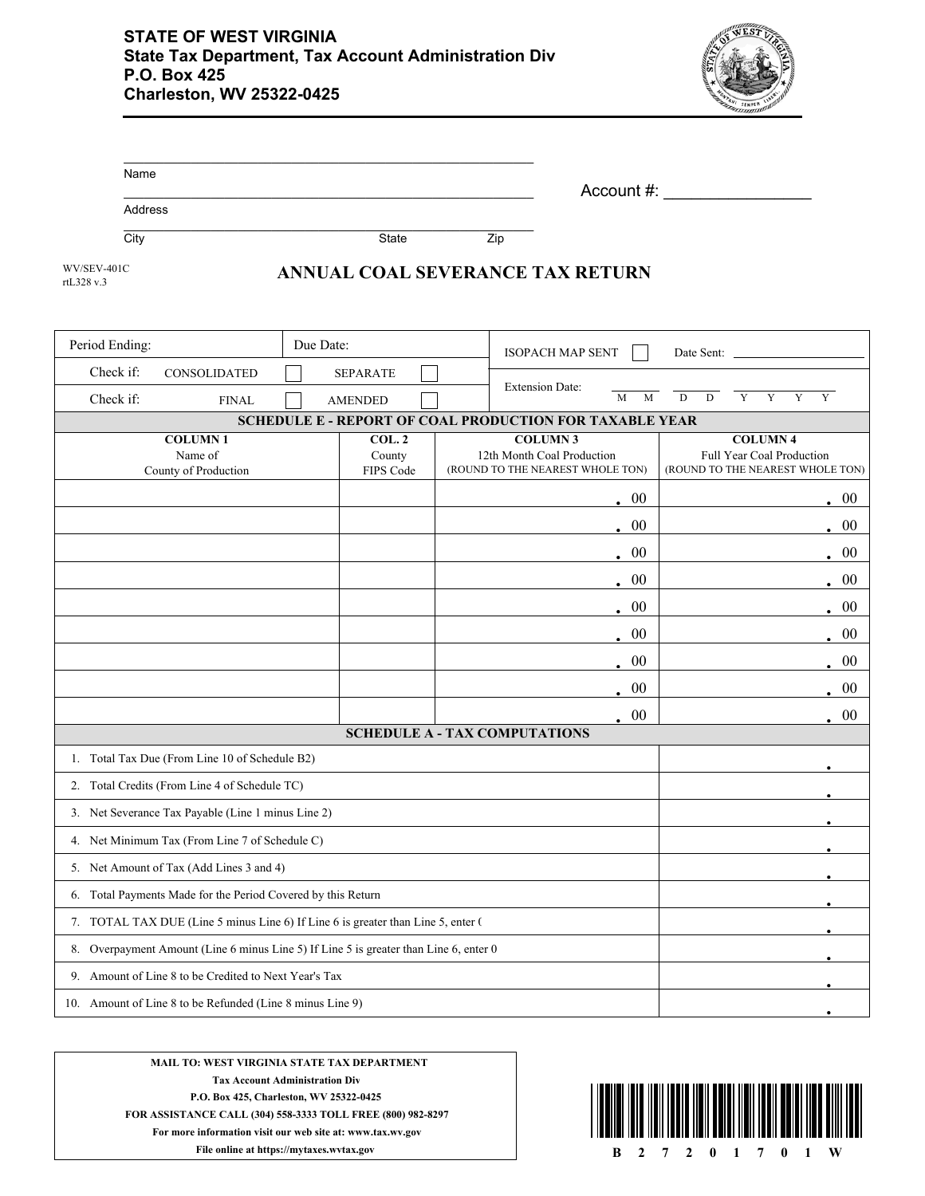

| Name    |       |     |            |  |
|---------|-------|-----|------------|--|
|         |       |     | Account #: |  |
| Address |       |     |            |  |
| City    | State | Zip |            |  |

rtL328 v.3

## WV/SEV-401C<br>**ANNUAL COAL SEVERANCE TAX RETURN**

| Period Ending:                                                                        |                                                    | Due Date:<br><b>ISOPACH MAP SENT</b> |                     | Date Sent: |                                                                |            |                     |                                                               |                |
|---------------------------------------------------------------------------------------|----------------------------------------------------|--------------------------------------|---------------------|------------|----------------------------------------------------------------|------------|---------------------|---------------------------------------------------------------|----------------|
| Check if:                                                                             | <b>CONSOLIDATED</b>                                |                                      | <b>SEPARATE</b>     |            |                                                                |            |                     |                                                               |                |
| Check if:                                                                             | <b>FINAL</b>                                       |                                      | <b>AMENDED</b>      |            | <b>Extension Date:</b>                                         | M<br>M     | $\overline{D}$<br>D | $\overline{Y}$<br>$\overline{Y}$<br>Y                         | $\overline{Y}$ |
|                                                                                       |                                                    |                                      |                     |            | SCHEDULE E - REPORT OF COAL PRODUCTION FOR TAXABLE YEAR        |            |                     |                                                               |                |
|                                                                                       | <b>COLUMN1</b>                                     |                                      | COL.2               |            | <b>COLUMN3</b>                                                 |            |                     | <b>COLUMN4</b>                                                |                |
|                                                                                       | Name of<br>County of Production                    |                                      | County<br>FIPS Code |            | 12th Month Coal Production<br>(ROUND TO THE NEAREST WHOLE TON) |            |                     | Full Year Coal Production<br>(ROUND TO THE NEAREST WHOLE TON) |                |
|                                                                                       |                                                    |                                      |                     |            |                                                                | $\cdot$ 00 |                     |                                                               | $\cdot$ 00     |
|                                                                                       |                                                    |                                      |                     |            |                                                                | . 00       |                     |                                                               | $\cdot$ 00     |
|                                                                                       |                                                    |                                      |                     |            |                                                                | 00         |                     |                                                               | $\cdot$ 00     |
|                                                                                       |                                                    |                                      |                     |            |                                                                | $\cdot$ 00 |                     |                                                               | . 00           |
|                                                                                       |                                                    |                                      |                     |            |                                                                | 00         |                     |                                                               | . 00           |
|                                                                                       |                                                    |                                      |                     |            |                                                                | 00         |                     |                                                               | $\cdot$ 00     |
|                                                                                       |                                                    |                                      |                     |            |                                                                | 00         |                     |                                                               | $\cdot$ 00     |
|                                                                                       |                                                    |                                      |                     |            |                                                                | $00\,$     |                     |                                                               | . 00           |
|                                                                                       |                                                    |                                      |                     |            |                                                                | 00         |                     |                                                               | $\cdot$ 00     |
| <b>SCHEDULE A - TAX COMPUTATIONS</b>                                                  |                                                    |                                      |                     |            |                                                                |            |                     |                                                               |                |
|                                                                                       | 1. Total Tax Due (From Line 10 of Schedule B2)     |                                      |                     |            |                                                                |            |                     |                                                               |                |
| 2. Total Credits (From Line 4 of Schedule TC)                                         |                                                    |                                      |                     |            |                                                                |            |                     |                                                               |                |
|                                                                                       | 3. Net Severance Tax Payable (Line 1 minus Line 2) |                                      |                     |            |                                                                |            |                     |                                                               |                |
| 4. Net Minimum Tax (From Line 7 of Schedule C)                                        |                                                    |                                      |                     |            |                                                                |            |                     |                                                               |                |
| 5. Net Amount of Tax (Add Lines 3 and 4)                                              |                                                    |                                      |                     |            |                                                                |            |                     |                                                               |                |
| 6. Total Payments Made for the Period Covered by this Return                          |                                                    |                                      |                     |            |                                                                |            |                     |                                                               |                |
| 7. TOTAL TAX DUE (Line 5 minus Line 6) If Line 6 is greater than Line 5, enter (      |                                                    |                                      |                     |            |                                                                |            |                     |                                                               |                |
| 8. Overpayment Amount (Line 6 minus Line 5) If Line 5 is greater than Line 6, enter 0 |                                                    |                                      |                     |            |                                                                |            |                     |                                                               |                |
| 9. Amount of Line 8 to be Credited to Next Year's Tax                                 |                                                    |                                      |                     |            |                                                                |            |                     |                                                               |                |
| 10. Amount of Line 8 to be Refunded (Line 8 minus Line 9)                             |                                                    |                                      |                     |            |                                                                |            |                     |                                                               |                |



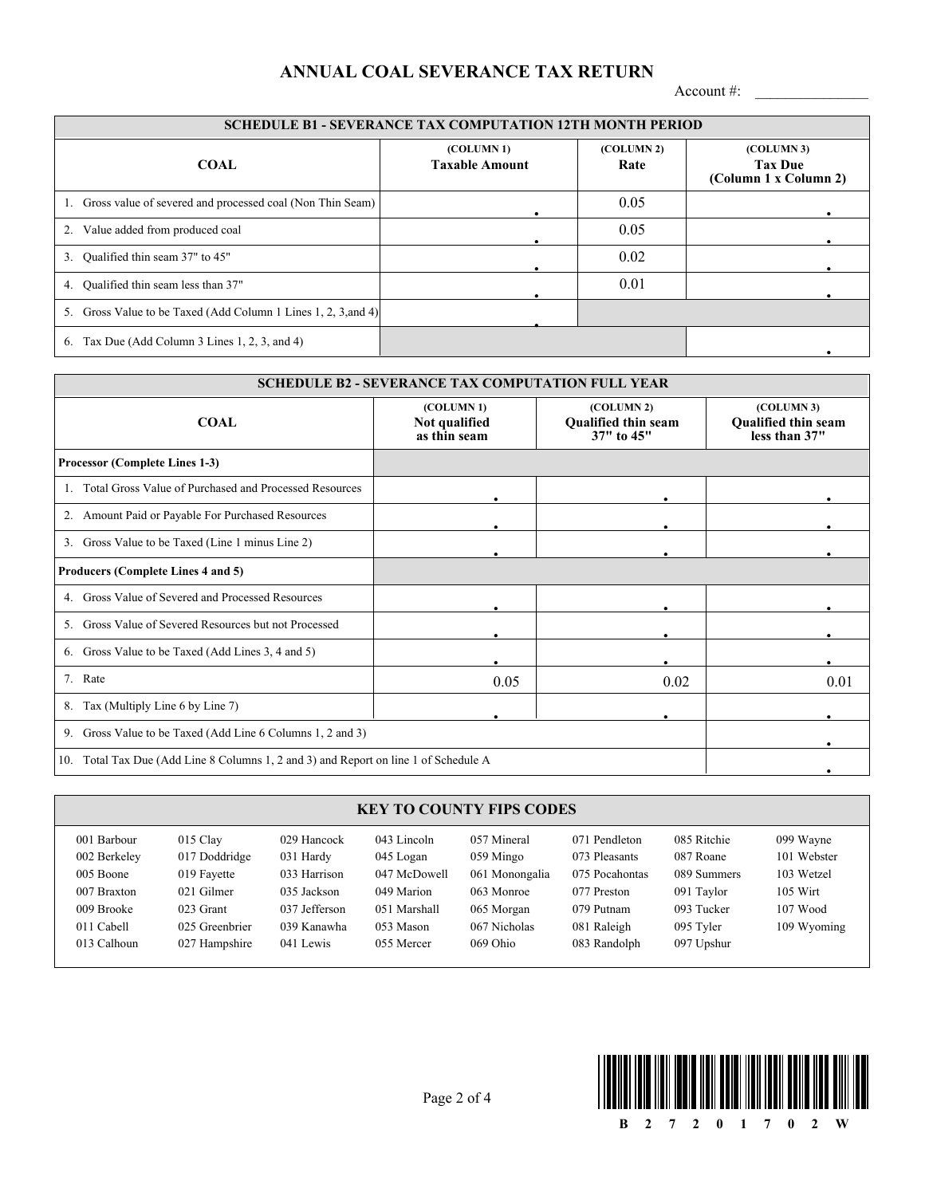## **ANNUAL COAL SEVERANCE TAX RETURN**

Account #: \_\_\_\_\_\_\_\_\_\_\_\_\_\_\_

| <b>SCHEDULE B1 - SEVERANCE TAX COMPUTATION 12TH MONTH PERIOD</b>  |                                     |                                |                                                       |  |  |
|-------------------------------------------------------------------|-------------------------------------|--------------------------------|-------------------------------------------------------|--|--|
| <b>COAL</b>                                                       | (COLUMN 1)<br><b>Taxable Amount</b> | (COLUMN <sub>2</sub> )<br>Rate | (COLUMN 3)<br><b>Tax Due</b><br>(Column 1 x Column 2) |  |  |
| 1. Gross value of severed and processed coal (Non Thin Seam)      |                                     | 0.05                           |                                                       |  |  |
| 2. Value added from produced coal                                 |                                     | 0.05                           |                                                       |  |  |
| 3. Qualified thin seam 37" to 45"                                 |                                     | 0.02                           |                                                       |  |  |
| 4. Qualified thin seam less than 37"                              |                                     | 0.01                           |                                                       |  |  |
| Gross Value to be Taxed (Add Column 1 Lines 1, 2, 3, and 4)<br>5. |                                     |                                |                                                       |  |  |
| Tax Due (Add Column 3 Lines 1, 2, 3, and 4)<br>6.                 |                                     |                                |                                                       |  |  |

| <b>SCHEDULE B2 - SEVERANCE TAX COMPUTATION FULL YEAR</b>      |                                                                                      |                                                        |                                                           |  |  |
|---------------------------------------------------------------|--------------------------------------------------------------------------------------|--------------------------------------------------------|-----------------------------------------------------------|--|--|
| <b>COAL</b>                                                   | (COLUMN 1)<br>Not qualified<br>as thin seam                                          | (COLUMN 2)<br><b>Qualified thin seam</b><br>37" to 45" | (COLUMN 3)<br><b>Qualified thin seam</b><br>less than 37" |  |  |
| <b>Processor (Complete Lines 1-3)</b>                         |                                                                                      |                                                        |                                                           |  |  |
| Total Gross Value of Purchased and Processed Resources<br>-1. | $\bullet$                                                                            |                                                        |                                                           |  |  |
| 2. Amount Paid or Payable For Purchased Resources             |                                                                                      |                                                        |                                                           |  |  |
| Gross Value to be Taxed (Line 1 minus Line 2)<br>3.           |                                                                                      |                                                        |                                                           |  |  |
| Producers (Complete Lines 4 and 5)                            |                                                                                      |                                                        |                                                           |  |  |
| Gross Value of Severed and Processed Resources<br>4.          | ٠                                                                                    | $\bullet$                                              |                                                           |  |  |
| Gross Value of Severed Resources but not Processed<br>5.      |                                                                                      |                                                        |                                                           |  |  |
| Gross Value to be Taxed (Add Lines 3, 4 and 5)<br>6.          |                                                                                      | $\bullet$                                              |                                                           |  |  |
| 7. Rate                                                       | 0.05                                                                                 | 0.02                                                   | 0.01                                                      |  |  |
| Tax (Multiply Line 6 by Line 7)<br>8.                         |                                                                                      |                                                        |                                                           |  |  |
| 9. Gross Value to be Taxed (Add Line 6 Columns 1, 2 and 3)    |                                                                                      |                                                        |                                                           |  |  |
|                                                               | 10. Total Tax Due (Add Line 8 Columns 1, 2 and 3) and Report on line 1 of Schedule A |                                                        |                                                           |  |  |

## **KEY TO COUNTY FIPS CODES**

| 001 Barbour  | $015$ Clay     | 029 Hancock   | 043 Lincoln  | 057 Mineral    | 071 Pendleton  | 085 Ritchie | 099 Wayne   |
|--------------|----------------|---------------|--------------|----------------|----------------|-------------|-------------|
| 002 Berkeley | 017 Doddridge  | 031 Hardy     | 045 Logan    | 059 Mingo      | 073 Pleasants  | 087 Roane   | 101 Webster |
| 005 Boone    | 019 Fayette    | 033 Harrison  | 047 McDowell | 061 Monongalia | 075 Pocahontas | 089 Summers | 103 Wetzel  |
| 007 Braxton  | 021 Gilmer     | 035 Jackson   | 049 Marion   | 063 Monroe     | 077 Preston    | 091 Taylor  | 105 Wirt    |
| 009 Brooke   | 023 Grant      | 037 Jefferson | 051 Marshall | 065 Morgan     | 079 Putnam     | 093 Tucker  | 107 Wood    |
| 011 Cabell   | 025 Greenbrier | 039 Kanawha   | 053 Mason    | 067 Nicholas   | 081 Raleigh    | 095 Tyler   | 109 Wyoming |
| 013 Calhoun  | 027 Hampshire  | 041 Lewis     | 055 Mercer   | 069 Ohio       | 083 Randolph   | 097 Upshur  |             |

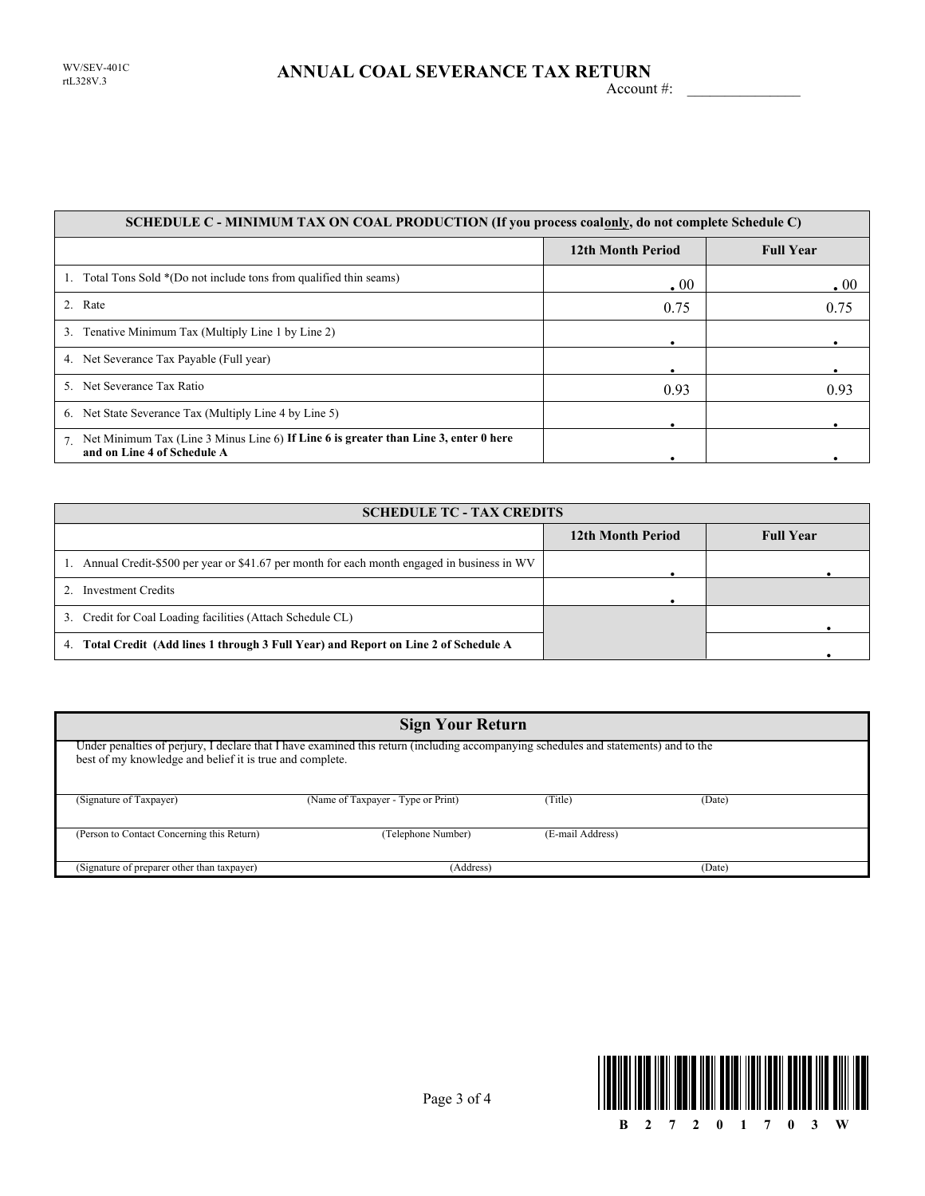1. Total Tons Sold \*(Do not include tons from qualified thin seams) 3. Tenative Minimum Tax (Multiply Line 1 by Line 2) 4. Net Severance Tax Payable (Full year) 5. Net Severance Tax Ratio 6. Net State Severance Tax (Multiply Line 4 by Line 5) 2. Rate 7. Rate  $0.75$   $0.75$   $0.75$ 0.93 **.** 00 **. . . .** Net Minimum Tax (Line 3 Minus Line 6) **If Line 6 is greater than Line 3, enter 0 here SCHEDULE C - MINIMUM TAX ON COAL PRODUCTION (If you process coalonly, do not complete Schedule C) 12th Month Period Full Year and on Line 4 of Schedule A .** 00 0.75 0.93 **. . . .**

| <b>SCHEDULE TC - TAX CREDITS</b>                                                              |                   |                  |  |  |
|-----------------------------------------------------------------------------------------------|-------------------|------------------|--|--|
|                                                                                               | 12th Month Period | <b>Full Year</b> |  |  |
| 1. Annual Credit-\$500 per year or \$41.67 per month for each month engaged in business in WV |                   |                  |  |  |
| Investment Credits                                                                            |                   |                  |  |  |
| 3. Credit for Coal Loading facilities (Attach Schedule CL)                                    |                   |                  |  |  |
| Total Credit (Add lines 1 through 3 Full Year) and Report on Line 2 of Schedule A<br>4.       |                   |                  |  |  |

| <b>Sign Your Return</b>                                  |                                                                                                                                     |                  |        |  |  |
|----------------------------------------------------------|-------------------------------------------------------------------------------------------------------------------------------------|------------------|--------|--|--|
| best of my knowledge and belief it is true and complete. | Under penalties of perjury, I declare that I have examined this return (including accompanying schedules and statements) and to the |                  |        |  |  |
| (Signature of Taxpayer)                                  | (Name of Taxpayer - Type or Print)                                                                                                  | (Title)          | (Date) |  |  |
| (Person to Contact Concerning this Return)               | (Telephone Number)                                                                                                                  | (E-mail Address) |        |  |  |
| (Signature of preparer other than taxpayer)              | (Address)<br>(Date)                                                                                                                 |                  |        |  |  |